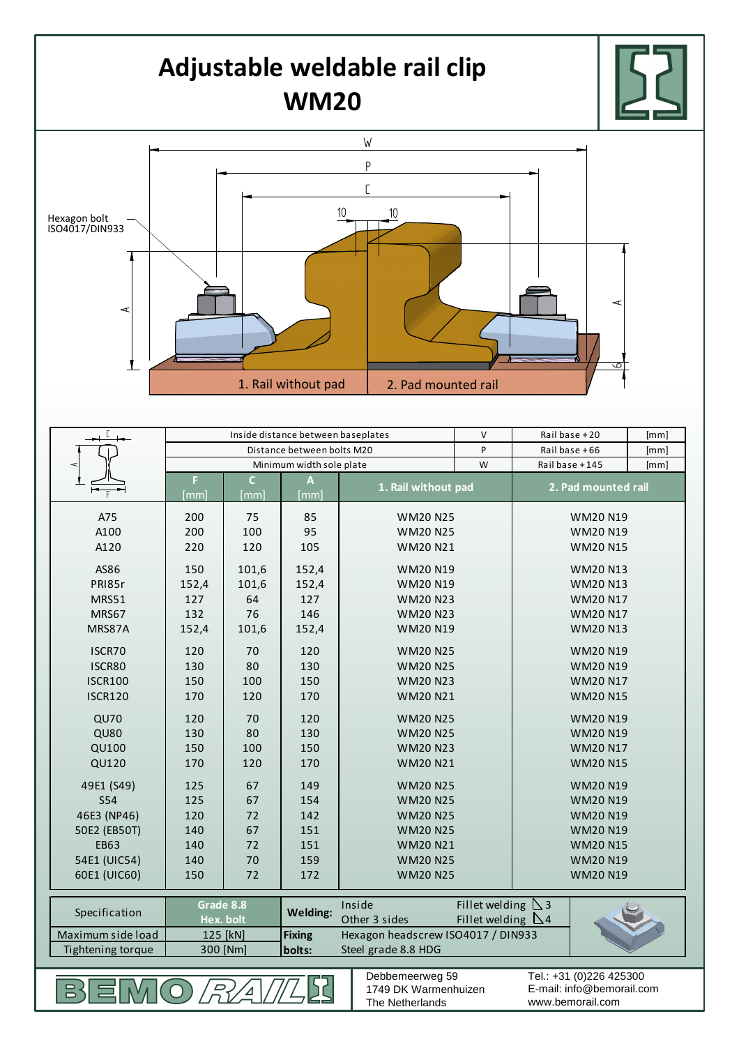